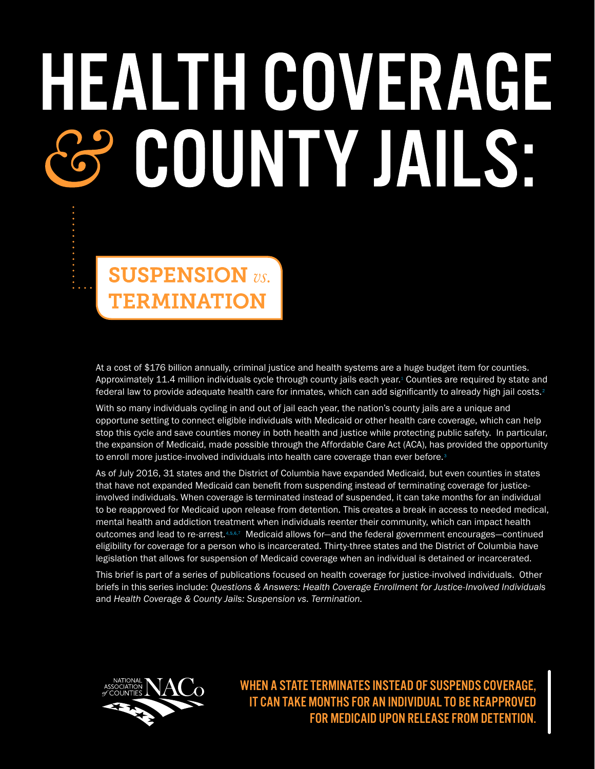# HEALTH COVERAGE 3 COUNTY JAILS:

**SUSPENSION** vs. **TERMINATION** 

At a cost of \$176 billion annually, criminal justice and health systems are a huge budget item for counties. Approximately [1](http://www.bjs.gov/content/pub/pdf/jim14.pdf)1.4 million individuals cycle through county jails each year.<sup>1</sup> Counties are required by state and federal law to provide adequate health care for inmates, which can add significantly to already high jail costs.

With so many individuals cycling in and out of jail each year, the nation's county jails are a unique and opportune setting to connect eligible individuals with Medicaid or other health care coverage, which can help stop this cycle and save counties money in both health and justice while protecting public safety. In particular, the expansion of Medicaid, made possible through the Affordable Care Act (ACA), has provided the opportunity to enroll more justice-involved individuals into health care coverage than ever before.<sup>3</sup>

As of July 2016, 31 states and the District of Columbia have expanded Medicaid, but even counties in states that have not expanded Medicaid can benefit from suspending instead of terminating coverage for justiceinvolved individuals. When coverage is terminated instead of suspended, it can take months for an individual to be reapproved for Medicaid upon release from detention. This creates a break in access to needed medical, mental health and addiction treatment when individuals reenter their community, which can impact health outcomes and lead to re-arrest. 4.5.6.[7](https://www.ncjrs.gov/ondcppubs/treat/consensus/taxman.pdf) Medicaid allows for—and the federal government encourages—continued eligibility for coverage for a person who is incarcerated. Thirty-three states and the District of Columbia have legislation that allows for suspension of Medicaid coverage when an individual is detained or incarcerated.

This brief is part of a series of publications focused on health coverage for justice-involved individuals. Other briefs in this series include: *Questions & Answers: Health Coverage Enrollment for Justice-Involved Individuals* and *Health Coverage & County Jails: Suspension vs. Termination.*



WHEN A STATE TERMINATES INSTEAD OF SUSPENDS COVERAGE, IT CAN TAKE MONTHS FOR AN INDIVIDUAL TO BE REAPPROVED FOR MEDICAID UPON RELEASE FROM DETENTION.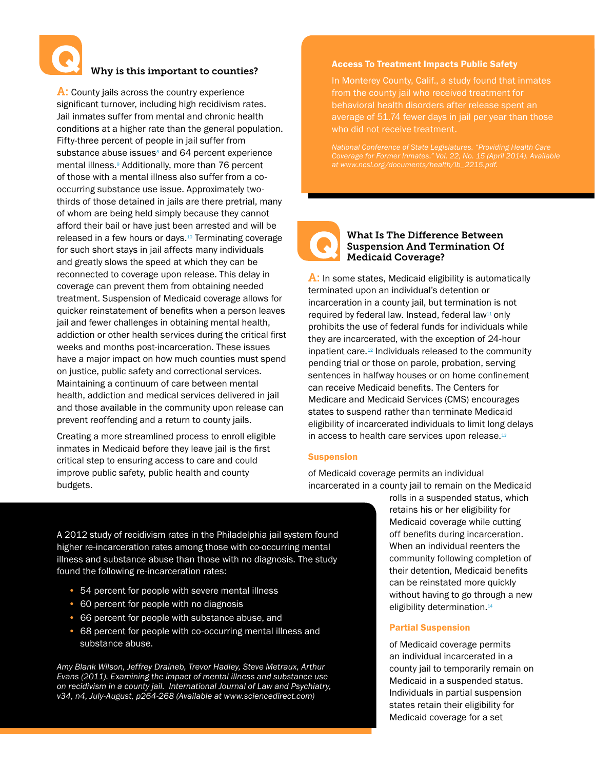

# Why is this important to counties?

A: County jails across the country experience significant turnover, including high recidivism rates. Jail inmates suffer from mental and chronic health conditions at a higher rate than the general population. Fifty-three percent of people in jail suffer from substance abuse issues $\frac{8}{3}$  and 64 percent experience mental illness.<sup>9</sup> Additionally, more than 76 percent of those with a mental illness also suffer from a cooccurring substance use issue. Approximately twothirds of those detained in jails are there pretrial, many of whom are being held simply because they cannot afford their bail or have just been arrested and will be released in a few hours or days.[10](http://www.prisonpolicy.org/reports/pie.html) Terminating coverage for such short stays in jail affects many individuals and greatly slows the speed at which they can be reconnected to coverage upon release. This delay in coverage can prevent them from obtaining needed treatment. Suspension of Medicaid coverage allows for quicker reinstatement of benefits when a person leaves jail and fewer challenges in obtaining mental health, addiction or other health services during the critical first weeks and months post-incarceration. These issues have a major impact on how much counties must spend on justice, public safety and correctional services. Maintaining a continuum of care between mental health, addiction and medical services delivered in jail and those available in the community upon release can prevent reoffending and a return to county jails.

Creating a more streamlined process to enroll eligible inmates in Medicaid before they leave jail is the first critical step to ensuring access to care and could improve public safety, public health and county budgets.

### Access To Treatment Impacts Public Safety

In Monterey County, Calif., a study found that inmates from the county jail who received treatment for behavioral health disorders after release spent an average of 51.74 fewer days in jail per year than those who did not receive treatment.

*National Conference of State Legislatures. "Providing Health Care Coverage for Former Inmates." Vol. 22, No. 15 (April 2014). Available* 



# What Is The Difference Between Suspension And Termination Of Medicaid Coverage?

A: In some states, Medicaid eligibility is automatically terminated upon an individual's detention or incarceration in a county jail, but termination is not required by federal law. Instead, federal law<sup>11</sup> only prohibits the use of federal funds for individuals while they are incarcerated, with the exception of 24-hour inpatient care.<sup>12</sup> Individuals released to the community pending trial or those on parole, probation, serving sentences in halfway houses or on home confinement can receive Medicaid benefits. The Centers for Medicare and Medicaid Services (CMS) encourages states to suspend rather than terminate Medicaid eligibility of incarcerated individuals to limit long delays in access to health care services upon release.<sup>13</sup>

#### Suspension

of Medicaid coverage permits an individual incarcerated in a county jail to remain on the Medicaid

> rolls in a suspended status, which retains his or her eligibility for Medicaid coverage while cutting off benefits during incarceration. When an individual reenters the community following completion of their detention, Medicaid benefits can be reinstated more quickly without having to go through a new eligibility determination.<sup>[14](http://lc.legis.wisconsin.gov)</sup>

## Partial Suspension

of Medicaid coverage permits an individual incarcerated in a county jail to temporarily remain on Medicaid in a suspended status. Individuals in partial suspension states retain their eligibility for Medicaid coverage for a set

A 2012 study of recidivism rates in the Philadelphia jail system found higher re-incarceration rates among those with co-occurring mental illness and substance abuse than those with no diagnosis. The study found the following re-incarceration rates:

- 54 percent for people with severe mental illness
- 60 percent for people with no diagnosis
- 66 percent for people with substance abuse, and
- 68 percent for people with co-occurring mental illness and substance abuse.

*Amy Blank Wilson, Jeffrey Draineb, Trevor Hadley, Steve Metraux, Arthur Evans (2011). Examining the impact of mental illness and substance use on recidivism in a county jail. International Journal of Law and Psychiatry, v34, n4, July-August, p264-268 (Available at www.sciencedirect.com)*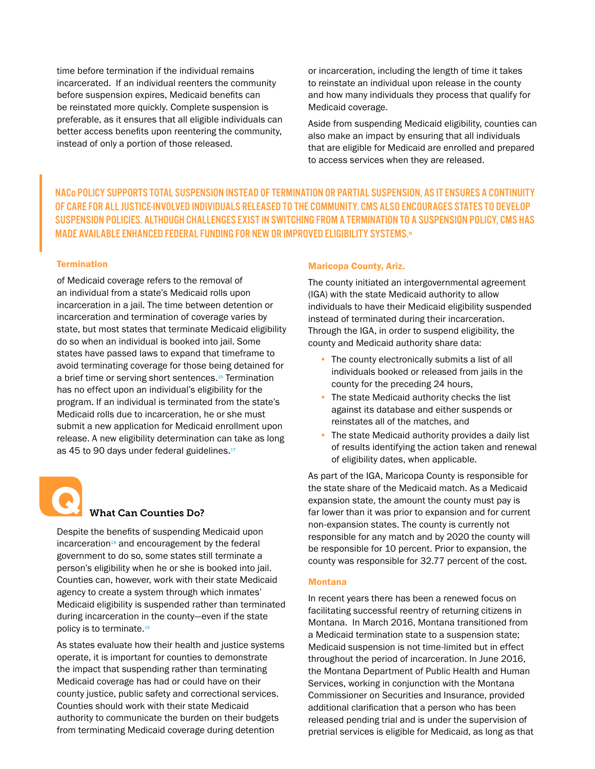time before termination if the individual remains incarcerated. If an individual reenters the community before suspension expires, Medicaid benefits can be reinstated more quickly. Complete suspension is preferable, as it ensures that all eligible individuals can better access benefits upon reentering the community, instead of only a portion of those released.

or incarceration, including the length of time it takes to reinstate an individual upon release in the county and how many individuals they process that qualify for Medicaid coverage.

Aside from suspending Medicaid eligibility, counties can also make an impact by ensuring that all individuals that are eligible for Medicaid are enrolled and prepared to access services when they are released.

NACo POLICY SUPPORTS TOTAL SUSPENSION INSTEAD OF TERMINATION OR PARTIAL SUSPENSION, AS IT ENSURES A CONTINUITY OF CARE FOR ALL JUSTICE-INVOLVED INDIVIDUALS RELEASED TO THE COMMUNITY. CMS ALSO ENCOURAGES STATES TO DEVELOP SUSPENSION POLICIES. ALTHOUGH CHALLENGES EXIST IN SWITCHING FROM A TERMINATION TO A SUSPENSION POLICY, CMS HAS MADE AVAILABLE ENHANCED FEDERAL FUNDING FOR NEW OR IMPROVED ELIGIBILITY SYSTEMS.15

# **Termination**

of Medicaid coverage refers to the removal of an individual from a state's Medicaid rolls upon incarceration in a jail. The time between detention or incarceration and termination of coverage varies by state, but most states that terminate Medicaid eligibility do so when an individual is booked into jail. Some states have passed laws to expand that timeframe to avoid terminating coverage for those being detained for a brief time or serving short sentences.<sup>16</sup> Termination has no effect upon an individual's eligibility for the program. If an individual is terminated from the state's Medicaid rolls due to incarceration, he or she must submit a new application for Medicaid enrollment upon release. A new eligibility determination can take as long as 45 to 90 days under federal guidelines.<sup>17</sup>



# What Can Counties Do?

Despite the benefits of suspending Medicaid upon incarceration<sup>18</sup> and encouragement by the federal government to do so, some states still terminate a person's eligibility when he or she is booked into jail. Counties can, however, work with their state Medicaid agency to create a system through which inmates' Medicaid eligibility is suspended rather than terminated during incarceration in the county—even if the state policy is to terminate.<sup>[19](https://www.azahcccs.gov/publicnotices/Downloads/%20ImpactofMedicaidExpansion.pdf)</sup>

As states evaluate how their health and justice systems operate, it is important for counties to demonstrate the impact that suspending rather than terminating Medicaid coverage has had or could have on their county justice, public safety and correctional services. Counties should work with their state Medicaid authority to communicate the burden on their budgets from terminating Medicaid coverage during detention

#### Maricopa County, Ariz.

The county initiated an intergovernmental agreement (IGA) with the state Medicaid authority to allow individuals to have their Medicaid eligibility suspended instead of terminated during their incarceration. Through the IGA, in order to suspend eligibility, the county and Medicaid authority share data:

- The county electronically submits a list of all individuals booked or released from jails in the county for the preceding 24 hours,
- The state Medicaid authority checks the list against its database and either suspends or reinstates all of the matches, and
- The state Medicaid authority provides a daily list of results identifying the action taken and renewal of eligibility dates, when applicable.

As part of the IGA, Maricopa County is responsible for the state share of the Medicaid match. As a Medicaid expansion state, the amount the county must pay is far lower than it was prior to expansion and for current non-expansion states. The county is currently not responsible for any match and by 2020 the county will be responsible for 10 percent. Prior to expansion, the county was responsible for 32.77 percent of the cost.

#### Montana

In recent years there has been a renewed focus on facilitating successful reentry of returning citizens in Montana. In March 2016, Montana transitioned from a Medicaid termination state to a suspension state; Medicaid suspension is not time-limited but in effect throughout the period of incarceration. In June 2016, the Montana Department of Public Health and Human Services, working in conjunction with the Montana Commissioner on Securities and Insurance, provided additional clarification that a person who has been released pending trial and is under the supervision of pretrial services is eligible for Medicaid, as long as that